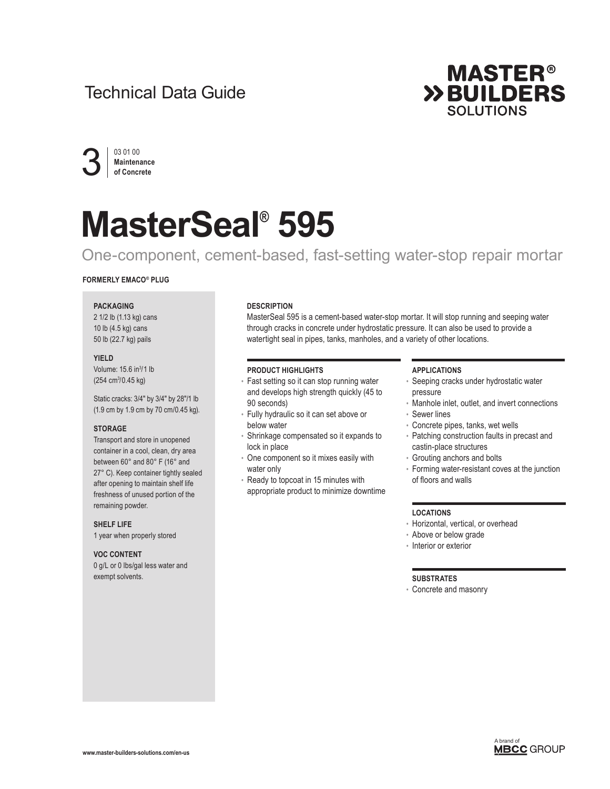## Technical Data Guide





# **MasterSeal® 595**

### One-component, cement-based, fast-setting water-stop repair mortar

#### **FORMERLY EMACO® PLUG**

#### **PACKAGING**

2 1/2 lb (1.13 kg) cans 10 lb (4.5 kg) cans 50 lb (22.7 kg) pails

#### **YIELD**

Volume: 15.6 in<sup>3</sup>/1 lb (254 cm<sup>3</sup>/0.45 kg)

Static cracks: 3/4" by 3/4" by 28"/1 lb (1.9 cm by 1.9 cm by 70 cm/0.45 kg).

#### **STORAGE**

Transport and store in unopened container in a cool, clean, dry area between 60° and 80° F (16° and 27° C). Keep container tightly sealed after opening to maintain shelf life freshness of unused portion of the remaining powder.

**SHELF LIFE**

1 year when properly stored

#### **VOC CONTENT**

0 g/L or 0 lbs/gal less water and exempt solvents.

#### **DESCRIPTION**

MasterSeal 595 is a cement-based water-stop mortar. It will stop running and seeping water through cracks in concrete under hydrostatic pressure. It can also be used to provide a watertight seal in pipes, tanks, manholes, and a variety of other locations.

#### **PRODUCT HIGHLIGHTS**

- Fast setting so it can stop running water and develops high strength quickly (45 to 90 seconds)
- Fully hydraulic so it can set above or below water
- Shrinkage compensated so it expands to lock in place
- One component so it mixes easily with water only
- Ready to topcoat in 15 minutes with appropriate product to minimize downtime

#### **APPLICATIONS**

- Seeping cracks under hydrostatic water pressure
- Manhole inlet, outlet, and invert connections • Sewer lines
- Concrete pipes, tanks, wet wells
- Patching construction faults in precast and castin-place structures
- Grouting anchors and bolts
- Forming water-resistant coves at the junction of floors and walls

#### **LOCATIONS**

- Horizontal, vertical, or overhead
- Above or below grade
- Interior or exterior

#### **SUBSTRATES**

• Concrete and masonry

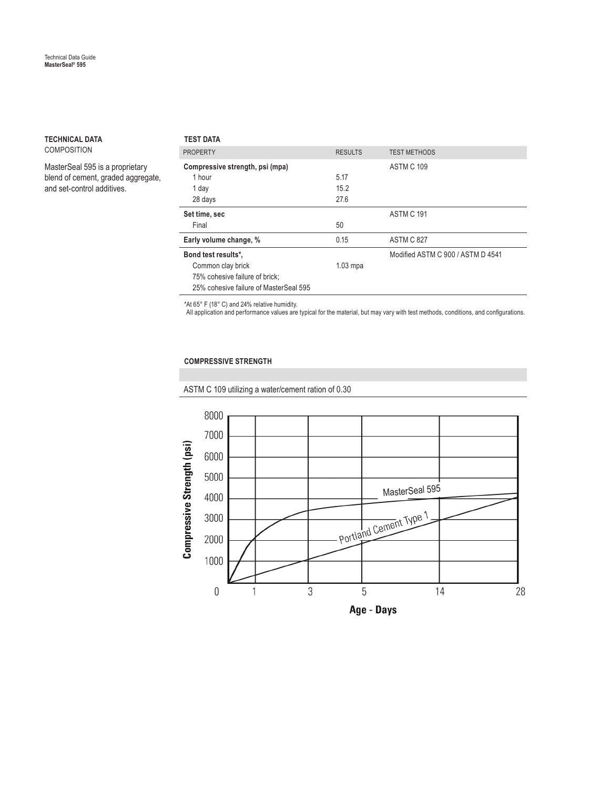#### **TECHNICAL DATA** COMPOSITION

MasterSeal 595 is a proprietary blend of cement, graded aggregate, and set-control additives.

| <b>TEST DATA</b>                       |                |                                   |
|----------------------------------------|----------------|-----------------------------------|
| <b>PROPERTY</b>                        | <b>RESULTS</b> | <b>TEST METHODS</b>               |
| Compressive strength, psi (mpa)        |                | ASTM C 109                        |
| 1 hour                                 | 5.17           |                                   |
| 1 day                                  | 15.2           |                                   |
| 28 days                                | 27.6           |                                   |
| Set time, sec                          |                | ASTM C 191                        |
| Final                                  | 50             |                                   |
| Early volume change, %                 | 0.15           | ASTM C 827                        |
| Bond test results*,                    |                | Modified ASTM C 900 / ASTM D 4541 |
| Common clay brick                      | $1.03$ mpa     |                                   |
| 75% cohesive failure of brick;         |                |                                   |
| 25% cohesive failure of MasterSeal 595 |                |                                   |

\*At 65° F (18° C) and 24% relative humidity.

All application and performance values are typical for the material, but may vary with test methods, conditions, and configurations.

#### **COMPRESSIVE STRENGTH**

ASTM C 109 utilizing a water/cement ration of 0.30

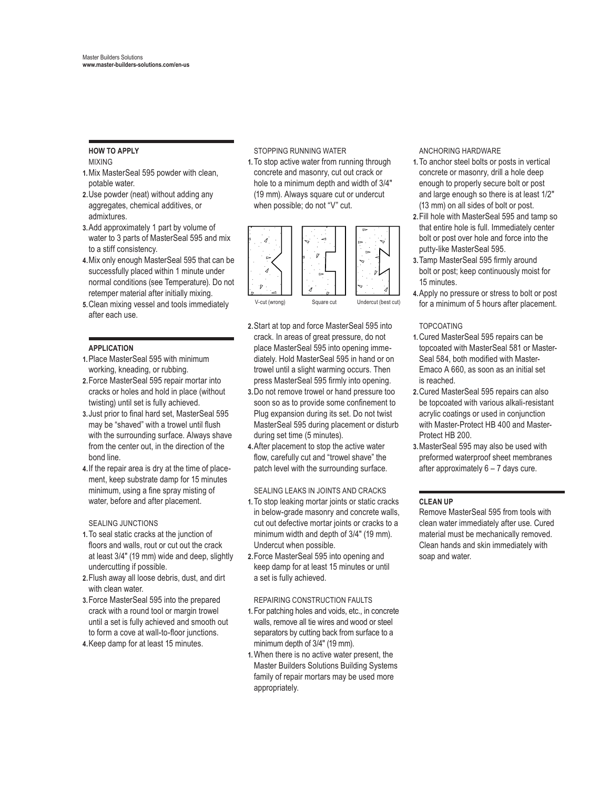#### **HOW TO APPLY** MIXING

- **1.** Mix MasterSeal 595 powder with clean, potable water.
- **2.** Use powder (neat) without adding any aggregates, chemical additives, or admixtures.
- **3.** Add approximately 1 part by volume of water to 3 parts of MasterSeal 595 and mix to a stiff consistency.
- **4.** Mix only enough MasterSeal 595 that can be successfully placed within 1 minute under normal conditions (see Temperature). Do not retemper material after initially mixing.
- **5.** Clean mixing vessel and tools immediately after each use.

#### **APPLICATION**

- **1.** Place MasterSeal 595 with minimum working, kneading, or rubbing.
- **2.** Force MasterSeal 595 repair mortar into cracks or holes and hold in place (without twisting) until set is fully achieved.
- **3.**Just prior to final hard set, MasterSeal 595 may be "shaved" with a trowel until flush with the surrounding surface. Always shave from the center out, in the direction of the bond line.
- **4.** If the repair area is dry at the time of placement, keep substrate damp for 15 minutes minimum, using a fine spray misting of water, before and after placement.

#### SEALING JUNCTIONS

- **1.** To seal static cracks at the junction of floors and walls, rout or cut out the crack at least 3/4" (19 mm) wide and deep, slightly undercutting if possible.
- **2.** Flush away all loose debris, dust, and dirt with clean water.
- **3.** Force MasterSeal 595 into the prepared crack with a round tool or margin trowel until a set is fully achieved and smooth out to form a cove at wall-to-floor junctions.
- **4.** Keep damp for at least 15 minutes.

STOPPING RUNNING WATER

**1.** To stop active water from running through concrete and masonry, cut out crack or hole to a minimum depth and width of 3/4" (19 mm). Always square cut or undercut when possible; do not "V" cut.



- **2.** Start at top and force MasterSeal 595 into crack. In areas of great pressure, do not place MasterSeal 595 into opening immediately. Hold MasterSeal 595 in hand or on trowel until a slight warming occurs. Then press MasterSeal 595 firmly into opening.
- **3.** Do not remove trowel or hand pressure too soon so as to provide some confinement to Plug expansion during its set. Do not twist MasterSeal 595 during placement or disturb during set time (5 minutes).
- **4.** After placement to stop the active water flow, carefully cut and "trowel shave" the patch level with the surrounding surface.

#### SEALING LEAKS IN JOINTS AND CRACKS

- **1.** To stop leaking mortar joints or static cracks in below-grade masonry and concrete walls, cut out defective mortar joints or cracks to a minimum width and depth of 3/4" (19 mm). Undercut when possible.
- **2.** Force MasterSeal 595 into opening and keep damp for at least 15 minutes or until a set is fully achieved.

#### REPAIRING CONSTRUCTION FAULTS

- **1.** For patching holes and voids, etc., in concrete walls, remove all tie wires and wood or steel separators by cutting back from surface to a minimum depth of 3/4" (19 mm).
- **1.** When there is no active water present, the Master Builders Solutions Building Systems family of repair mortars may be used more appropriately.

ANCHORING HARDWARE

- **1.** To anchor steel bolts or posts in vertical concrete or masonry, drill a hole deep enough to properly secure bolt or post and large enough so there is at least 1/2" (13 mm) on all sides of bolt or post.
- **2.** Fill hole with MasterSeal 595 and tamp so that entire hole is full. Immediately center bolt or post over hole and force into the putty-like MasterSeal 595.
- **3.**Tamp MasterSeal 595 firmly around bolt or post; keep continuously moist for 15 minutes.
- **4.** Apply no pressure or stress to bolt or post for a minimum of 5 hours after placement.

#### TOPCOATING

- **1.** Cured MasterSeal 595 repairs can be topcoated with MasterSeal 581 or Master-Seal 584, both modified with Master-Emaco A 660, as soon as an initial set is reached.
- **2.** Cured MasterSeal 595 repairs can also be topcoated with various alkali-resistant acrylic coatings or used in conjunction with Master-Protect HB 400 and Master-Protect HB 200.
- **3.** MasterSeal 595 may also be used with preformed waterproof sheet membranes after approximately 6 – 7 days cure.

#### **CLEAN UP**

 Remove MasterSeal 595 from tools with clean water immediately after use. Cured material must be mechanically removed. Clean hands and skin immediately with soap and water.